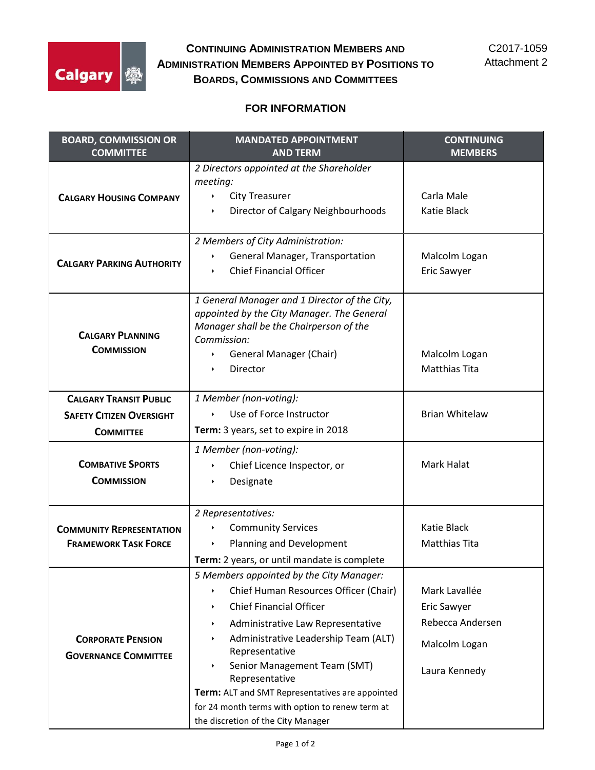

**CONTINUING ADMINISTRATION MEMBERS AND ADMINISTRATION MEMBERS APPOINTED BY POSITIONS TO BOARDS, COMMISSIONS AND COMMITTEES**

## **FOR INFORMATION**

| <b>BOARD, COMMISSION OR</b><br><b>COMMITTEE</b>                | <b>MANDATED APPOINTMENT</b><br><b>AND TERM</b>                                                                                                                                                                                                                                                                                                                                                                                                                                       | <b>CONTINUING</b><br><b>MEMBERS</b>                                                       |
|----------------------------------------------------------------|--------------------------------------------------------------------------------------------------------------------------------------------------------------------------------------------------------------------------------------------------------------------------------------------------------------------------------------------------------------------------------------------------------------------------------------------------------------------------------------|-------------------------------------------------------------------------------------------|
| <b>CALGARY HOUSING COMPANY</b>                                 | 2 Directors appointed at the Shareholder<br>meeting:<br><b>City Treasurer</b><br>Director of Calgary Neighbourhoods                                                                                                                                                                                                                                                                                                                                                                  | Carla Male<br>Katie Black                                                                 |
| <b>CALGARY PARKING AUTHORITY</b>                               | 2 Members of City Administration:<br>General Manager, Transportation<br><b>Chief Financial Officer</b><br>$\blacktriangleright$                                                                                                                                                                                                                                                                                                                                                      | Malcolm Logan<br>Eric Sawyer                                                              |
| <b>CALGARY PLANNING</b><br><b>COMMISSION</b>                   | 1 General Manager and 1 Director of the City,<br>appointed by the City Manager. The General<br>Manager shall be the Chairperson of the<br>Commission:<br><b>General Manager (Chair)</b><br>Director                                                                                                                                                                                                                                                                                  | Malcolm Logan<br><b>Matthias Tita</b>                                                     |
| <b>CALGARY TRANSIT PUBLIC</b>                                  | 1 Member (non-voting):                                                                                                                                                                                                                                                                                                                                                                                                                                                               |                                                                                           |
| <b>SAFETY CITIZEN OVERSIGHT</b>                                | Use of Force Instructor<br>¥.                                                                                                                                                                                                                                                                                                                                                                                                                                                        | <b>Brian Whitelaw</b>                                                                     |
| <b>COMMITTEE</b>                                               | Term: 3 years, set to expire in 2018                                                                                                                                                                                                                                                                                                                                                                                                                                                 |                                                                                           |
| <b>COMBATIVE SPORTS</b><br><b>COMMISSION</b>                   | 1 Member (non-voting):<br>Chief Licence Inspector, or<br>×.<br>Designate<br>×                                                                                                                                                                                                                                                                                                                                                                                                        | Mark Halat                                                                                |
| <b>COMMUNITY REPRESENTATION</b><br><b>FRAMEWORK TASK FORCE</b> | 2 Representatives:<br><b>Community Services</b><br>Planning and Development<br>Term: 2 years, or until mandate is complete                                                                                                                                                                                                                                                                                                                                                           | <b>Katie Black</b><br><b>Matthias Tita</b>                                                |
| <b>CORPORATE PENSION</b><br><b>GOVERNANCE COMMITTEE</b>        | 5 Members appointed by the City Manager:<br>Chief Human Resources Officer (Chair)<br>Þ.<br><b>Chief Financial Officer</b><br>×.<br>Administrative Law Representative<br>$\blacktriangleright$<br>Administrative Leadership Team (ALT)<br>×.<br>Representative<br>Senior Management Team (SMT)<br>$\blacktriangleright$<br>Representative<br>Term: ALT and SMT Representatives are appointed<br>for 24 month terms with option to renew term at<br>the discretion of the City Manager | Mark Lavallée<br><b>Eric Sawyer</b><br>Rebecca Andersen<br>Malcolm Logan<br>Laura Kennedy |